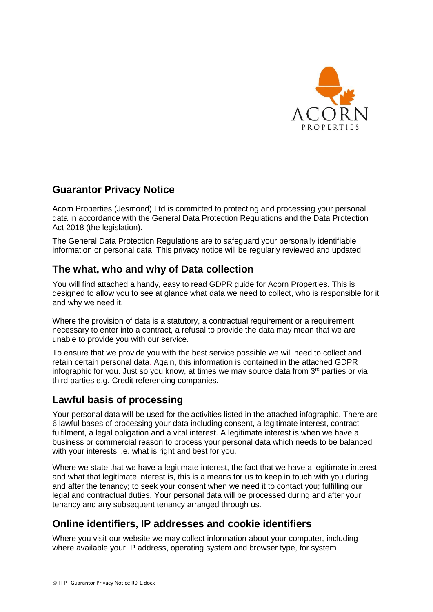

## **Guarantor Privacy Notice**

Acorn Properties (Jesmond) Ltd is committed to protecting and processing your personal data in accordance with the General Data Protection Regulations and the Data Protection Act 2018 (the legislation).

The General Data Protection Regulations are to safeguard your personally identifiable information or personal data. This privacy notice will be regularly reviewed and updated.

# **The what, who and why of Data collection**

You will find attached a handy, easy to read GDPR guide for Acorn Properties. This is designed to allow you to see at glance what data we need to collect, who is responsible for it and why we need it.

Where the provision of data is a statutory, a contractual requirement or a requirement necessary to enter into a contract, a refusal to provide the data may mean that we are unable to provide you with our service.

To ensure that we provide you with the best service possible we will need to collect and retain certain personal data. Again, this information is contained in the attached GDPR infographic for you. Just so you know, at times we may source data from  $3<sup>rd</sup>$  parties or via third parties e.g. Credit referencing companies.

## **Lawful basis of processing**

Your personal data will be used for the activities listed in the attached infographic. There are 6 lawful bases of processing your data including consent, a legitimate interest, contract fulfilment, a legal obligation and a vital interest. A legitimate interest is when we have a business or commercial reason to process your personal data which needs to be balanced with your interests i.e. what is right and best for you.

Where we state that we have a legitimate interest, the fact that we have a legitimate interest and what that legitimate interest is, this is a means for us to keep in touch with you during and after the tenancy; to seek your consent when we need it to contact you; fulfilling our legal and contractual duties. Your personal data will be processed during and after your tenancy and any subsequent tenancy arranged through us.

## **Online identifiers, IP addresses and cookie identifiers**

Where you visit our website we may collect information about your computer, including where available your IP address, operating system and browser type, for system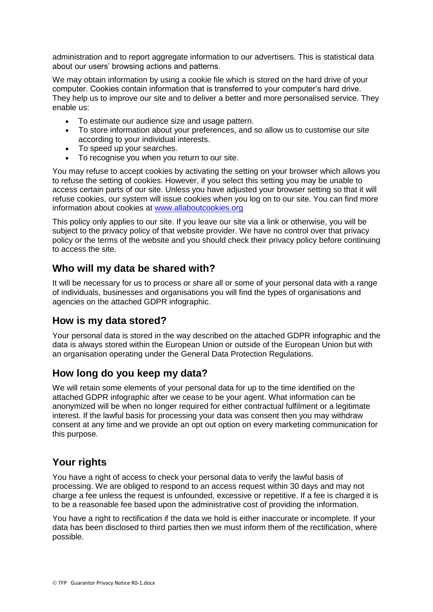administration and to report aggregate information to our advertisers. This is statistical data about our users' browsing actions and patterns.

We may obtain information by using a cookie file which is stored on the hard drive of your computer. Cookies contain information that is transferred to your computer's hard drive. They help us to improve our site and to deliver a better and more personalised service. They enable us:

- To estimate our audience size and usage pattern.
- To store information about your preferences, and so allow us to customise our site according to your individual interests.
- To speed up your searches.
- To recognise you when you return to our site.

You may refuse to accept cookies by activating the setting on your browser which allows you to refuse the setting of cookies. However, if you select this setting you may be unable to access certain parts of our site. Unless you have adjusted your browser setting so that it will refuse cookies, our system will issue cookies when you log on to our site. You can find more information about cookies at [www.allaboutcookies.org](http://www.allaboutcookies.org/)

This policy only applies to our site. If you leave our site via a link or otherwise, you will be subject to the privacy policy of that website provider. We have no control over that privacy policy or the terms of the website and you should check their privacy policy before continuing to access the site.

#### **Who will my data be shared with?**

It will be necessary for us to process or share all or some of your personal data with a range of individuals, businesses and organisations you will find the types of organisations and agencies on the attached GDPR infographic.

#### **How is my data stored?**

Your personal data is stored in the way described on the attached GDPR infographic and the data is always stored within the European Union or outside of the European Union but with an organisation operating under the General Data Protection Regulations.

#### **How long do you keep my data?**

We will retain some elements of your personal data for up to the time identified on the attached GDPR infographic after we cease to be your agent. What information can be anonymized will be when no longer required for either contractual fulfilment or a legitimate interest. If the lawful basis for processing your data was consent then you may withdraw consent at any time and we provide an opt out option on every marketing communication for this purpose.

#### **Your rights**

You have a right of access to check your personal data to verify the lawful basis of processing. We are obliged to respond to an access request within 30 days and may not charge a fee unless the request is unfounded, excessive or repetitive. If a fee is charged it is to be a reasonable fee based upon the administrative cost of providing the information.

You have a right to rectification if the data we hold is either inaccurate or incomplete. If your data has been disclosed to third parties then we must inform them of the rectification, where possible.